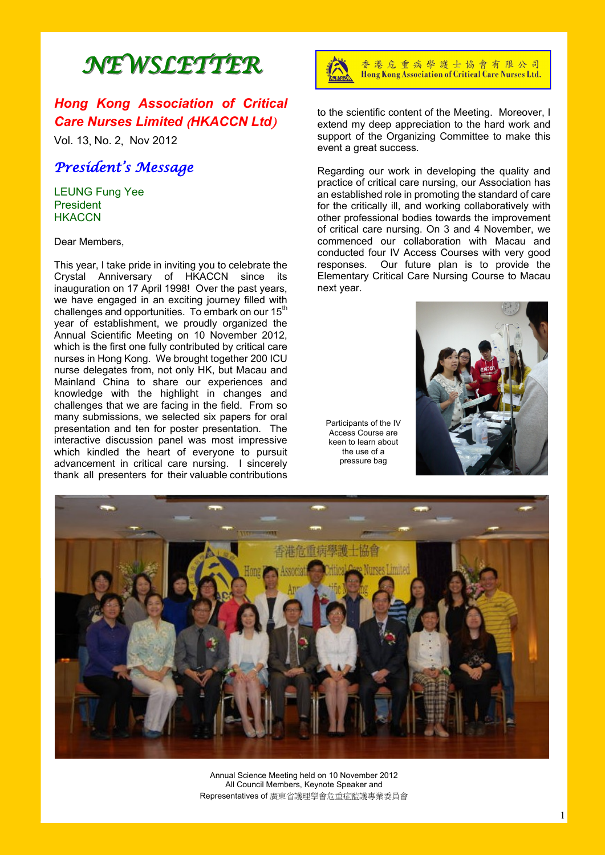# *NEWSLETTER*

# *Hong Kong Association of Critical Care Nurses Limited* (*HKACCN Ltd*)

Vol. 13, No. 2, Nov 2012

# *President's Message*

LEUNG Fung Yee President **HKACCN** 

Dear Members,

This year, I take pride in inviting you to celebrate the Crystal Anniversary of HKACCN since its inauguration on 17 April 1998! Over the past years, we have engaged in an exciting journey filled with challenges and opportunities. To embark on our 15<sup>th</sup> year of establishment, we proudly organized the Annual Scientific Meeting on 10 November 2012, which is the first one fully contributed by critical care nurses in Hong Kong. We brought together 200 ICU nurse delegates from, not only HK, but Macau and Mainland China to share our experiences and knowledge with the highlight in changes and challenges that we are facing in the field. From so many submissions, we selected six papers for oral presentation and ten for poster presentation. The interactive discussion panel was most impressive which kindled the heart of everyone to pursuit advancement in critical care nursing. I sincerely thank all presenters for their valuable contributions



香港危重病學護士協會有限公司 Hong Kong Association of Critical Care Nurses Ltd.

to the scientific content of the Meeting. Moreover, I extend my deep appreciation to the hard work and support of the Organizing Committee to make this event a great success.

Regarding our work in developing the quality and practice of critical care nursing, our Association has an established role in promoting the standard of care for the critically ill, and working collaboratively with other professional bodies towards the improvement of critical care nursing. On 3 and 4 November, we commenced our collaboration with Macau and conducted four IV Access Courses with very good responses. Our future plan is to provide the Elementary Critical Care Nursing Course to Macau next year.

Participants of the IV Access Course are keen to learn about the use of a pressure bag





Annual Science Meeting held on 10 November 2012 All Council Members, Keynote Speaker and Representatives of 廣東省護理學會危重症監護專業委員會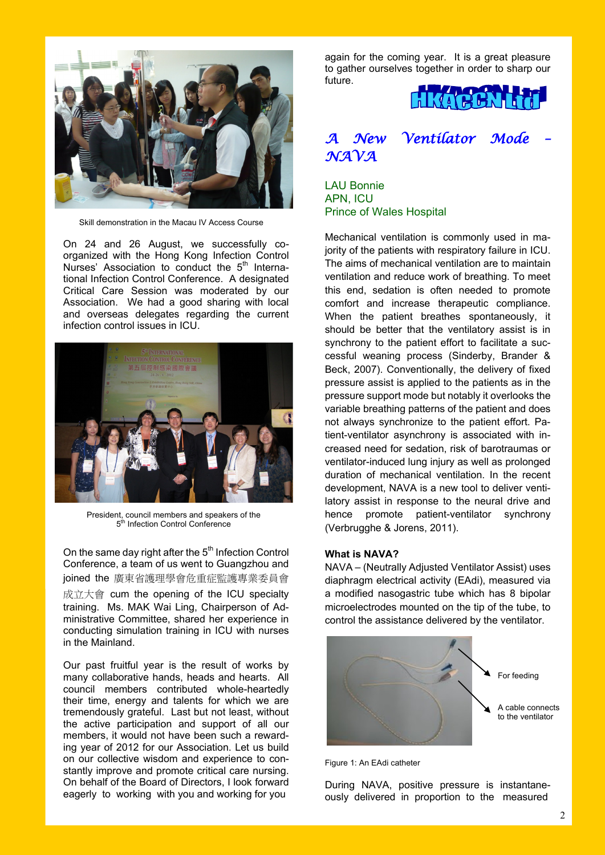

Skill demonstration in the Macau IV Access Course

On 24 and 26 August, we successfully coorganized with the Hong Kong Infection Control Nurses' Association to conduct the 5<sup>th</sup> International Infection Control Conference. A designated Critical Care Session was moderated by our Association. We had a good sharing with local and overseas delegates regarding the current infection control issues in ICU.



President, council members and speakers of the 5<sup>th</sup> Infection Control Conference

On the same day right after the  $5<sup>th</sup>$  Infection Control Conference, a team of us went to Guangzhou and joined the 廣東省護理學會危重症監護專業委員會 成立大會 cum the opening of the ICU specialty training. Ms. MAK Wai Ling, Chairperson of Administrative Committee, shared her experience in conducting simulation training in ICU with nurses in the Mainland.

Our past fruitful year is the result of works by many collaborative hands, heads and hearts. All council members contributed whole-heartedly their time, energy and talents for which we are tremendously grateful. Last but not least, without the active participation and support of all our members, it would not have been such a rewarding year of 2012 for our Association. Let us build on our collective wisdom and experience to constantly improve and promote critical care nursing. On behalf of the Board of Directors, I look forward eagerly to working with you and working for you

again for the coming year. It is a great pleasure to gather ourselves together in order to sharp our future.



# *A New Ventilator Mode –*   $\mathcal{N}$ *A*  $\mathcal{N}$ *A*

LAU Bonnie APN, ICU Prince of Wales Hospital

Mechanical ventilation is commonly used in majority of the patients with respiratory failure in ICU. The aims of mechanical ventilation are to maintain ventilation and reduce work of breathing. To meet this end, sedation is often needed to promote comfort and increase therapeutic compliance. When the patient breathes spontaneously, it should be better that the ventilatory assist is in synchrony to the patient effort to facilitate a successful weaning process (Sinderby, Brander & Beck, 2007). Conventionally, the delivery of fixed pressure assist is applied to the patients as in the pressure support mode but notably it overlooks the variable breathing patterns of the patient and does not always synchronize to the patient effort. Patient-ventilator asynchrony is associated with increased need for sedation, risk of barotraumas or ventilator-induced lung injury as well as prolonged duration of mechanical ventilation. In the recent development, NAVA is a new tool to deliver ventilatory assist in response to the neural drive and hence promote patient-ventilator synchrony (Verbrugghe & Jorens, 2011).

#### **What is NAVA?**

NAVA – (Neutrally Adjusted Ventilator Assist) uses diaphragm electrical activity (EAdi), measured via a modified nasogastric tube which has 8 bipolar microelectrodes mounted on the tip of the tube, to control the assistance delivered by the ventilator.



Figure 1: An EAdi catheter

During NAVA, positive pressure is instantaneously delivered in proportion to the measured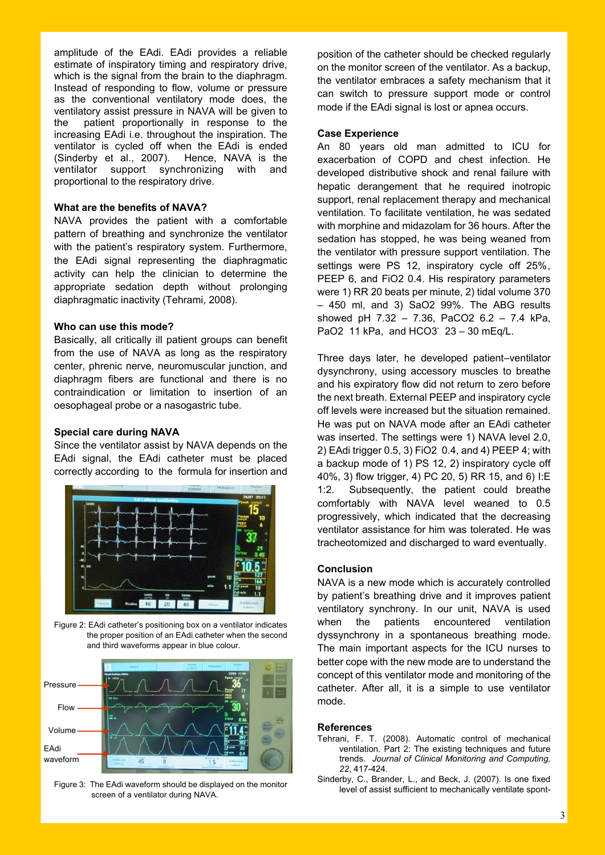amplitude of the EAdi. EAdi provides a reliable estimate of inspiratory timing and respiratory drive, which is the signal from the brain to the diaphragm. Instead of responding to flow, volume or pressure as the conventional ventilatory mode does, the ventilatory assist pressure in NAVA will be given to the patient proportionally in response to the increasing EAdi i.e. throughout the inspiration. The ventilator is cycled off when the EAdi is ended (Sinderby et al., 2007). Hence, NAVA is the ventilator support synchronizing with and proportional to the respiratory drive.

### **What are the benefits of NAVA?**

NAVA provides the patient with a comfortable pattern of breathing and synchronize the ventilator with the patient's respiratory system. Furthermore, the EAdi signal representing the diaphragmatic activity can help the clinician to determine the appropriate sedation depth without prolonging diaphragmatic inactivity (Tehrami, 2008).

#### **Who can use this mode?**

Basically, all critically ill patient groups can benefit from the use of NAVA as long as the respiratory center, phrenic nerve, neuromuscular junction, and diaphragm fibers are functional and there is no contraindication or limitation to insertion of an oesophageal probe or a nasogastric tube.

#### **Special care during NAVA**

Since the ventilator assist by NAVA depends on the EAdi signal, the EAdi catheter must be placed correctly according to the formula for insertion and



Figure 2: EAdi catheter's positioning box on a ventilator indicates the proper position of an EAdi catheter when the second and third waveforms appear in blue colour.



Figure 3: The EAdi waveform should be displayed on the monitor screen of a ventilator during NAVA.

position of the catheter should be checked regularly on the monitor screen of the ventilator. As a backup, the ventilator embraces a safety mechanism that it can switch to pressure support mode or control mode if the EAdi signal is lost or apnea occurs.

#### **Case Experience**

An 80 years old man admitted to ICU for exacerbation of COPD and chest infection. He developed distributive shock and renal failure with hepatic derangement that he required inotropic support, renal replacement therapy and mechanical ventilation. To facilitate ventilation, he was sedated with morphine and midazolam for 36 hours. After the sedation has stopped, he was being weaned from the ventilator with pressure support ventilation. The settings were PS 12, inspiratory cycle off 25%, PEEP 6, and FiO2 0.4. His respiratory parameters were 1) RR 20 beats per minute, 2) tidal volume 370 – 450 ml, and 3) SaO2 99%. The ABG results showed pH 7.32 – 7.36, PaCO2 6.2 – 7.4 kPa, PaO2 11 kPa, and HCO3<sup>-</sup> 23 - 30 mEq/L.

Three days later, he developed patient–ventilator dysynchrony, using accessory muscles to breathe and his expiratory flow did not return to zero before the next breath. External PEEP and inspiratory cycle off levels were increased but the situation remained. He was put on NAVA mode after an EAdi catheter was inserted. The settings were 1) NAVA level 2.0, 2) EAdi trigger 0.5, 3) FiO2 0.4, and 4) PEEP 4; with a backup mode of 1) PS 12, 2) inspiratory cycle off 40%, 3) flow trigger, 4) PC 20, 5) RR 15, and 6) I:E 1:2. Subsequently, the patient could breathe comfortably with NAVA level weaned to 0.5 progressively, which indicated that the decreasing ventilator assistance for him was tolerated. He was tracheotomized and discharged to ward eventually.

#### **Conclusion**

NAVA is a new mode which is accurately controlled by patient's breathing drive and it improves patient ventilatory synchrony. In our unit, NAVA is used when the patients encountered ventilation dyssynchrony in a spontaneous breathing mode. The main important aspects for the ICU nurses to better cope with the new mode are to understand the concept of this ventilator mode and monitoring of the catheter. After all, it is a simple to use ventilator mode.

#### **References**

- Tehrani, F. T. (2008). Automatic control of mechanical ventilation. Part 2: The existing techniques and future trends. *Journal of Clinical Monitoring and Computing, 22*, 417-424.
- Sinderby, C., Brander, L., and Beck, J. (2007). Is one fixed level of assist sufficient to mechanically ventilate spont-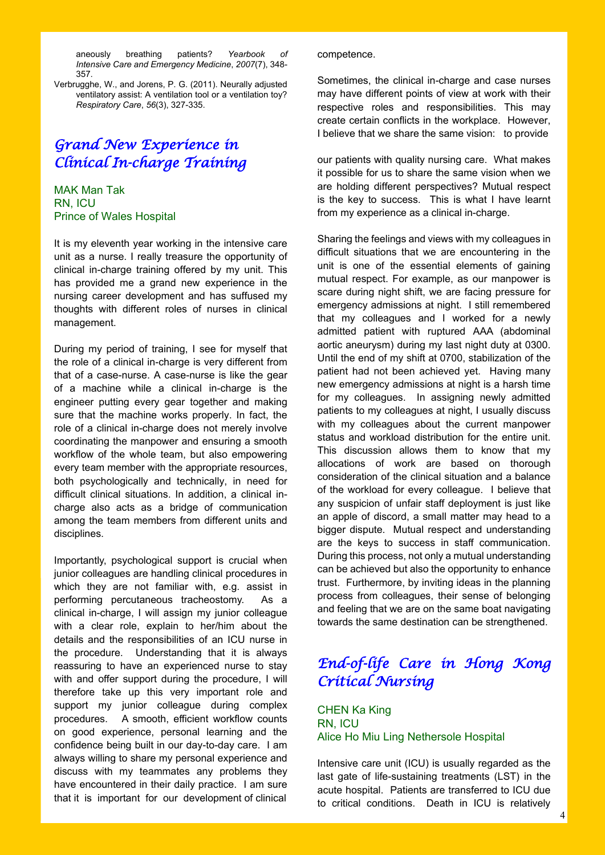aneously breathing patients? *Yearbook of Intensive Care and Emergency Medicine*, *2007*(7), 348- 357.

Verbrugghe, W., and Jorens, P. G. (2011). Neurally adjusted ventilatory assist: A ventilation tool or a ventilation toy? *Respiratory Care*, *56*(3), 327-335.

# *Grand New Experience in Clinical In-charge Training*

MAK Man Tak RN, ICU Prince of Wales Hospital

It is my eleventh year working in the intensive care unit as a nurse. I really treasure the opportunity of clinical in-charge training offered by my unit. This has provided me a grand new experience in the nursing career development and has suffused my thoughts with different roles of nurses in clinical management.

During my period of training, I see for myself that the role of a clinical in-charge is very different from that of a case-nurse. A case-nurse is like the gear of a machine while a clinical in-charge is the engineer putting every gear together and making sure that the machine works properly. In fact, the role of a clinical in-charge does not merely involve coordinating the manpower and ensuring a smooth workflow of the whole team, but also empowering every team member with the appropriate resources, both psychologically and technically, in need for difficult clinical situations. In addition, a clinical incharge also acts as a bridge of communication among the team members from different units and disciplines.

Importantly, psychological support is crucial when junior colleagues are handling clinical procedures in which they are not familiar with, e.g. assist in performing percutaneous tracheostomy. As a clinical in-charge, I will assign my junior colleague with a clear role, explain to her/him about the details and the responsibilities of an ICU nurse in the procedure. Understanding that it is always reassuring to have an experienced nurse to stay with and offer support during the procedure, I will therefore take up this very important role and support my junior colleague during complex procedures. A smooth, efficient workflow counts on good experience, personal learning and the confidence being built in our day-to-day care. I am always willing to share my personal experience and discuss with my teammates any problems they have encountered in their daily practice. I am sure that it is important for our development of clinical

competence.

Sometimes, the clinical in-charge and case nurses may have different points of view at work with their respective roles and responsibilities. This may create certain conflicts in the workplace. However, I believe that we share the same vision: to provide

our patients with quality nursing care. What makes it possible for us to share the same vision when we are holding different perspectives? Mutual respect is the key to success. This is what I have learnt from my experience as a clinical in-charge.

Sharing the feelings and views with my colleagues in difficult situations that we are encountering in the unit is one of the essential elements of gaining mutual respect. For example, as our manpower is scare during night shift, we are facing pressure for emergency admissions at night. I still remembered that my colleagues and I worked for a newly admitted patient with ruptured AAA (abdominal aortic aneurysm) during my last night duty at 0300. Until the end of my shift at 0700, stabilization of the patient had not been achieved yet. Having many new emergency admissions at night is a harsh time for my colleagues. In assigning newly admitted patients to my colleagues at night, I usually discuss with my colleagues about the current manpower status and workload distribution for the entire unit. This discussion allows them to know that my allocations of work are based on thorough consideration of the clinical situation and a balance of the workload for every colleague. I believe that any suspicion of unfair staff deployment is just like an apple of discord, a small matter may head to a bigger dispute. Mutual respect and understanding are the keys to success in staff communication. During this process, not only a mutual understanding can be achieved but also the opportunity to enhance trust. Furthermore, by inviting ideas in the planning process from colleagues, their sense of belonging and feeling that we are on the same boat navigating towards the same destination can be strengthened.

# *End-of-life Care in Hong Kong Critical Nursing*

CHEN Ka King RN, ICU Alice Ho Miu Ling Nethersole Hospital

Intensive care unit (ICU) is usually regarded as the last gate of life-sustaining treatments (LST) in the acute hospital. Patients are transferred to ICU due to critical conditions. Death in ICU is relatively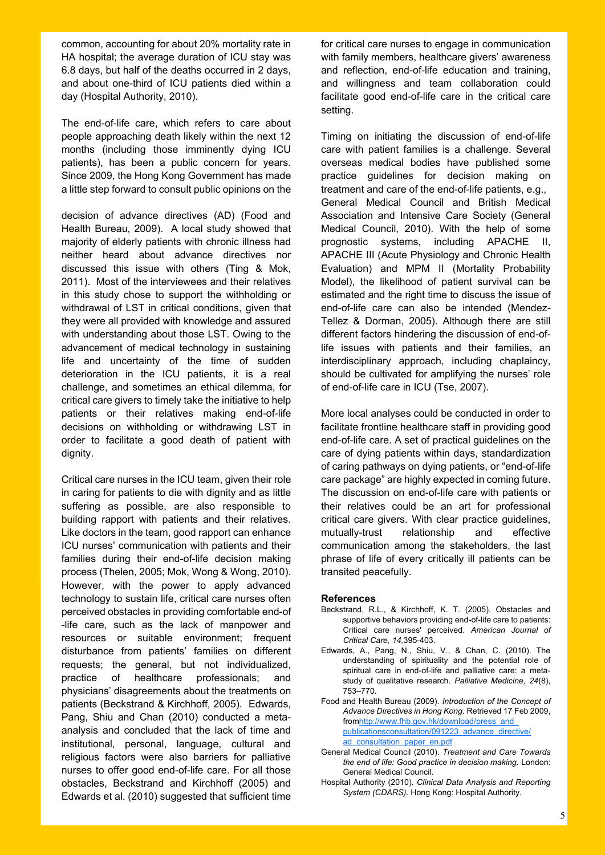common, accounting for about 20% mortality rate in HA hospital; the average duration of ICU stay was 6.8 days, but half of the deaths occurred in 2 days, and about one-third of ICU patients died within a day (Hospital Authority, 2010).

The end-of-life care, which refers to care about people approaching death likely within the next 12 months (including those imminently dying ICU patients), has been a public concern for years. Since 2009, the Hong Kong Government has made a little step forward to consult public opinions on the

decision of advance directives (AD) (Food and Health Bureau, 2009). A local study showed that majority of elderly patients with chronic illness had neither heard about advance directives nor discussed this issue with others (Ting & Mok, 2011). Most of the interviewees and their relatives in this study chose to support the withholding or withdrawal of LST in critical conditions, given that they were all provided with knowledge and assured with understanding about those LST. Owing to the advancement of medical technology in sustaining life and uncertainty of the time of sudden deterioration in the ICU patients, it is a real challenge, and sometimes an ethical dilemma, for critical care givers to timely take the initiative to help patients or their relatives making end-of-life decisions on withholding or withdrawing LST in order to facilitate a good death of patient with dignity.

Critical care nurses in the ICU team, given their role in caring for patients to die with dignity and as little suffering as possible, are also responsible to building rapport with patients and their relatives. Like doctors in the team, good rapport can enhance ICU nurses' communication with patients and their families during their end-of-life decision making process (Thelen, 2005; Mok, Wong & Wong, 2010). However, with the power to apply advanced technology to sustain life, critical care nurses often perceived obstacles in providing comfortable end-of -life care, such as the lack of manpower and resources or suitable environment; frequent disturbance from patients' families on different requests; the general, but not individualized, practice of healthcare professionals; and physicians' disagreements about the treatments on patients (Beckstrand & Kirchhoff, 2005). Edwards, Pang, Shiu and Chan (2010) conducted a metaanalysis and concluded that the lack of time and institutional, personal, language, cultural and religious factors were also barriers for palliative nurses to offer good end-of-life care. For all those obstacles, Beckstrand and Kirchhoff (2005) and Edwards et al. (2010) suggested that sufficient time

for critical care nurses to engage in communication with family members, healthcare givers' awareness and reflection, end-of-life education and training, and willingness and team collaboration could facilitate good end-of-life care in the critical care setting.

Timing on initiating the discussion of end-of-life care with patient families is a challenge. Several overseas medical bodies have published some practice guidelines for decision making on treatment and care of the end-of-life patients, e.g., General Medical Council and British Medical Association and Intensive Care Society (General Medical Council, 2010). With the help of some prognostic systems, including APACHE II, APACHE III (Acute Physiology and Chronic Health Evaluation) and MPM II (Mortality Probability Model), the likelihood of patient survival can be estimated and the right time to discuss the issue of end-of-life care can also be intended (Mendez-Tellez & Dorman, 2005). Although there are still different factors hindering the discussion of end-oflife issues with patients and their families, an interdisciplinary approach, including chaplaincy, should be cultivated for amplifying the nurses' role of end-of-life care in ICU (Tse, 2007).

More local analyses could be conducted in order to facilitate frontline healthcare staff in providing good end-of-life care. A set of practical guidelines on the care of dying patients within days, standardization of caring pathways on dying patients, or "end-of-life care package" are highly expected in coming future. The discussion on end-of-life care with patients or their relatives could be an art for professional critical care givers. With clear practice guidelines, mutually-trust relationship and effective communication among the stakeholders, the last phrase of life of every critically ill patients can be transited peacefully.

#### **References**

- Beckstrand, R.L., & Kirchhoff, K. T. (2005). Obstacles and supportive behaviors providing end-of-life care to patients: Critical care nurses' perceived. *American Journal of Critical Care, 14,*395-403.
- Edwards, A., Pang, N., Shiu, V., & Chan, C. (2010). The understanding of spirituality and the potential role of spiritual care in end-of-life and palliative care: a metastudy of qualitative research. *Palliative Medicine, 24*(8), 753–770.

Food and Health Bureau (2009). *Introduction of the Concept of Advance Directives in Hong Kong.* Retrieved 17 Feb 2009, from[http://www.fhb.gov.hk/download/press\\_and\\_](http://www.fhb.gov.hk/download/press_and_publications/consultation/091223_advance_directive/ad_consultation_paper_en.pdf)  [publicationsconsultation/091223\\_advance\\_directive/](http://www.fhb.gov.hk/download/press_and_publications/consultation/091223_advance_directive/ad_consultation_paper_en.pdf) [ad\\_consultation\\_paper\\_en.pdf](http://www.fhb.gov.hk/download/press_and_publications/consultation/091223_advance_directive/ad_consultation_paper_en.pdf)

- General Medical Council (2010). *Treatment and Care Towards the end of life: Good practice in decision making.* London: General Medical Council.
- Hospital Authority (2010). *Clinical Data Analysis and Reporting System (CDARS).* Hong Kong: Hospital Authority.